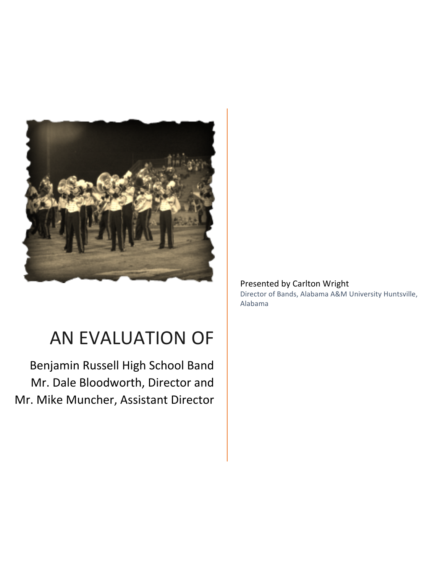

# AN EVALUATION OF

Benjamin Russell High School Band Mr. Dale Bloodworth, Director and Mr. Mike Muncher, Assistant Director

# Presented by Carlton Wright

Director of Bands, Alabama A&M University Huntsville, Alabama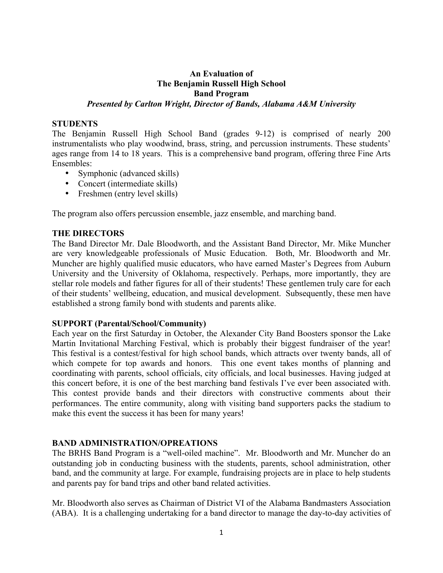# **An Evaluation of The Benjamin Russell High School Band Program** *Presented by Carlton Wright, Director of Bands, Alabama A&M University*

#### **STUDENTS**

The Benjamin Russell High School Band (grades 9-12) is comprised of nearly 200 instrumentalists who play woodwind, brass, string, and percussion instruments. These students' ages range from 14 to 18 years. This is a comprehensive band program, offering three Fine Arts Ensembles:

- Symphonic (advanced skills)
- Concert (intermediate skills)
- Freshmen (entry level skills)

The program also offers percussion ensemble, jazz ensemble, and marching band.

#### **THE DIRECTORS**

The Band Director Mr. Dale Bloodworth, and the Assistant Band Director, Mr. Mike Muncher are very knowledgeable professionals of Music Education. Both, Mr. Bloodworth and Mr. Muncher are highly qualified music educators, who have earned Master's Degrees from Auburn University and the University of Oklahoma, respectively. Perhaps, more importantly, they are stellar role models and father figures for all of their students! These gentlemen truly care for each of their students' wellbeing, education, and musical development. Subsequently, these men have established a strong family bond with students and parents alike.

#### **SUPPORT (Parental/School/Community)**

Each year on the first Saturday in October, the Alexander City Band Boosters sponsor the Lake Martin Invitational Marching Festival, which is probably their biggest fundraiser of the year! This festival is a contest/festival for high school bands, which attracts over twenty bands, all of which compete for top awards and honors. This one event takes months of planning and coordinating with parents, school officials, city officials, and local businesses. Having judged at this concert before, it is one of the best marching band festivals I've ever been associated with. This contest provide bands and their directors with constructive comments about their performances. The entire community, along with visiting band supporters packs the stadium to make this event the success it has been for many years!

#### **BAND ADMINISTRATION/OPREATIONS**

The BRHS Band Program is a "well-oiled machine". Mr. Bloodworth and Mr. Muncher do an outstanding job in conducting business with the students, parents, school administration, other band, and the community at large. For example, fundraising projects are in place to help students and parents pay for band trips and other band related activities.

Mr. Bloodworth also serves as Chairman of District VI of the Alabama Bandmasters Association (ABA). It is a challenging undertaking for a band director to manage the day-to-day activities of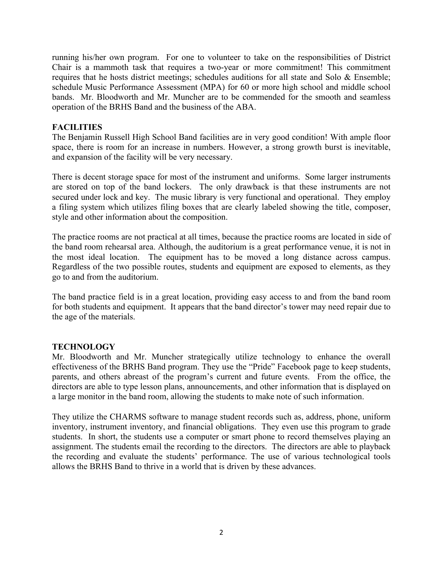running his/her own program. For one to volunteer to take on the responsibilities of District Chair is a mammoth task that requires a two-year or more commitment! This commitment requires that he hosts district meetings; schedules auditions for all state and Solo & Ensemble; schedule Music Performance Assessment (MPA) for 60 or more high school and middle school bands. Mr. Bloodworth and Mr. Muncher are to be commended for the smooth and seamless operation of the BRHS Band and the business of the ABA.

# **FACILITIES**

The Benjamin Russell High School Band facilities are in very good condition! With ample floor space, there is room for an increase in numbers. However, a strong growth burst is inevitable, and expansion of the facility will be very necessary.

There is decent storage space for most of the instrument and uniforms. Some larger instruments are stored on top of the band lockers. The only drawback is that these instruments are not secured under lock and key. The music library is very functional and operational. They employ a filing system which utilizes filing boxes that are clearly labeled showing the title, composer, style and other information about the composition.

The practice rooms are not practical at all times, because the practice rooms are located in side of the band room rehearsal area. Although, the auditorium is a great performance venue, it is not in the most ideal location. The equipment has to be moved a long distance across campus. Regardless of the two possible routes, students and equipment are exposed to elements, as they go to and from the auditorium.

The band practice field is in a great location, providing easy access to and from the band room for both students and equipment. It appears that the band director's tower may need repair due to the age of the materials.

# **TECHNOLOGY**

Mr. Bloodworth and Mr. Muncher strategically utilize technology to enhance the overall effectiveness of the BRHS Band program. They use the "Pride" Facebook page to keep students, parents, and others abreast of the program's current and future events. From the office, the directors are able to type lesson plans, announcements, and other information that is displayed on a large monitor in the band room, allowing the students to make note of such information.

They utilize the CHARMS software to manage student records such as, address, phone, uniform inventory, instrument inventory, and financial obligations. They even use this program to grade students. In short, the students use a computer or smart phone to record themselves playing an assignment. The students email the recording to the directors. The directors are able to playback the recording and evaluate the students' performance. The use of various technological tools allows the BRHS Band to thrive in a world that is driven by these advances.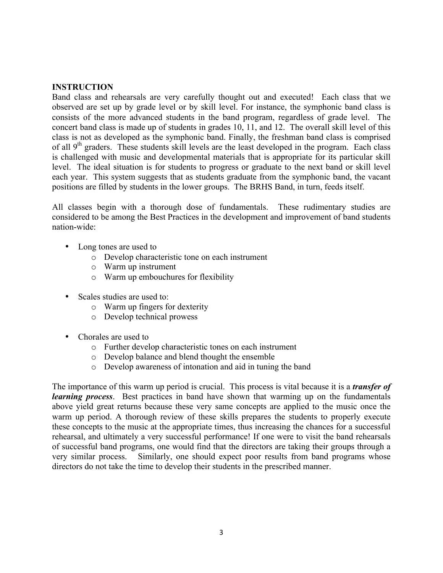### **INSTRUCTION**

Band class and rehearsals are very carefully thought out and executed! Each class that we observed are set up by grade level or by skill level. For instance, the symphonic band class is consists of the more advanced students in the band program, regardless of grade level. The concert band class is made up of students in grades 10, 11, and 12. The overall skill level of this class is not as developed as the symphonic band. Finally, the freshman band class is comprised of all  $9<sup>th</sup>$  graders. These students skill levels are the least developed in the program. Each class is challenged with music and developmental materials that is appropriate for its particular skill level. The ideal situation is for students to progress or graduate to the next band or skill level each year. This system suggests that as students graduate from the symphonic band, the vacant positions are filled by students in the lower groups. The BRHS Band, in turn, feeds itself.

All classes begin with a thorough dose of fundamentals. These rudimentary studies are considered to be among the Best Practices in the development and improvement of band students nation-wide:

- Long tones are used to
	- o Develop characteristic tone on each instrument
	- o Warm up instrument
	- o Warm up embouchures for flexibility
- Scales studies are used to:
	- o Warm up fingers for dexterity
	- o Develop technical prowess
- Chorales are used to
	- o Further develop characteristic tones on each instrument
	- o Develop balance and blend thought the ensemble
	- o Develop awareness of intonation and aid in tuning the band

The importance of this warm up period is crucial. This process is vital because it is a *transfer of learning process*. Best practices in band have shown that warming up on the fundamentals above yield great returns because these very same concepts are applied to the music once the warm up period. A thorough review of these skills prepares the students to properly execute these concepts to the music at the appropriate times, thus increasing the chances for a successful rehearsal, and ultimately a very successful performance! If one were to visit the band rehearsals of successful band programs, one would find that the directors are taking their groups through a very similar process. Similarly, one should expect poor results from band programs whose directors do not take the time to develop their students in the prescribed manner.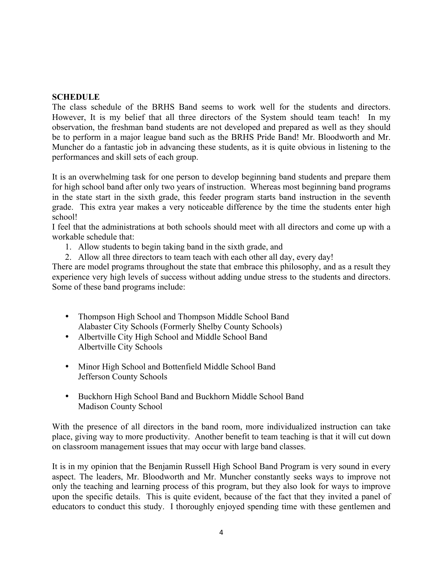# **SCHEDULE**

The class schedule of the BRHS Band seems to work well for the students and directors. However, It is my belief that all three directors of the System should team teach! In my observation, the freshman band students are not developed and prepared as well as they should be to perform in a major league band such as the BRHS Pride Band! Mr. Bloodworth and Mr. Muncher do a fantastic job in advancing these students, as it is quite obvious in listening to the performances and skill sets of each group.

It is an overwhelming task for one person to develop beginning band students and prepare them for high school band after only two years of instruction. Whereas most beginning band programs in the state start in the sixth grade, this feeder program starts band instruction in the seventh grade. This extra year makes a very noticeable difference by the time the students enter high school!

I feel that the administrations at both schools should meet with all directors and come up with a workable schedule that:

- 1. Allow students to begin taking band in the sixth grade, and
- 2. Allow all three directors to team teach with each other all day, every day!

There are model programs throughout the state that embrace this philosophy, and as a result they experience very high levels of success without adding undue stress to the students and directors. Some of these band programs include:

- Thompson High School and Thompson Middle School Band Alabaster City Schools (Formerly Shelby County Schools)
- Albertville City High School and Middle School Band Albertville City Schools
- Minor High School and Bottenfield Middle School Band Jefferson County Schools
- Buckhorn High School Band and Buckhorn Middle School Band Madison County School

With the presence of all directors in the band room, more individualized instruction can take place, giving way to more productivity. Another benefit to team teaching is that it will cut down on classroom management issues that may occur with large band classes.

It is in my opinion that the Benjamin Russell High School Band Program is very sound in every aspect. The leaders, Mr. Bloodworth and Mr. Muncher constantly seeks ways to improve not only the teaching and learning process of this program, but they also look for ways to improve upon the specific details. This is quite evident, because of the fact that they invited a panel of educators to conduct this study. I thoroughly enjoyed spending time with these gentlemen and